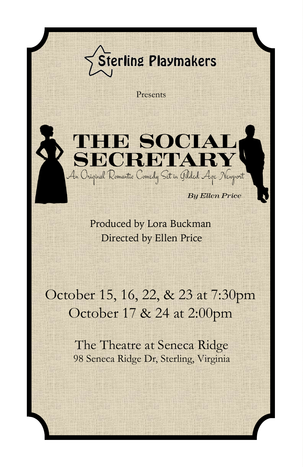## **Sterling Playmakers**

Presents



Directed by Ellen Price Produced by Lora Buckman

### October 15, 16, 22, & 23 at 7:30pm October 17 & 24 at 2:00pm

The Theatre at Seneca Ridge 98 Seneca Ridge Dr, Sterling, Virginia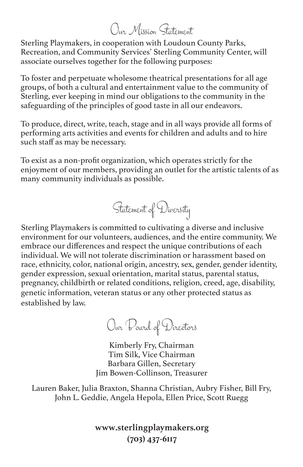#### Our Mission Statement

Sterling Playmakers, in cooperation with Loudoun County Parks, Recreation, and Community Services' Sterling Community Center, will associate ourselves together for the following purposes:

To foster and perpetuate wholesome theatrical presentations for all age groups, of both a cultural and entertainment value to the community of Sterling, ever keeping in mind our obligations to the community in the safeguarding of the principles of good taste in all our endeavors.

To produce, direct, write, teach, stage and in all ways provide all forms of performing arts activities and events for children and adults and to hire such staff as may be necessary.

To exist as a non-profit organization, which operates strictly for the enjoyment of our members, providing an outlet for the artistic talents of as many community individuals as possible.



Sterling Playmakers is committed to cultivating a diverse and inclusive environment for our volunteers, audiences, and the entire community. We embrace our differences and respect the unique contributions of each individual. We will not tolerate discrimination or harassment based on race, ethnicity, color, national origin, ancestry, sex, gender, gender identity, gender expression, sexual orientation, marital status, parental status, pregnancy, childbirth or related conditions, religion, creed, age, disability, genetic information, veteran status or any other protected status as established by law.

Our Board of Directors

Kimberly Fry, Chairman Tim Silk, Vice Chairman Barbara Gillen, Secretary Jim Bowen-Collinson, Treasurer

Lauren Baker, Julia Braxton, Shanna Christian, Aubry Fisher, Bill Fry, John L. Geddie, Angela Hepola, Ellen Price, Scott Ruegg

> **www.sterlingplaymakers.org (703) 437-6117**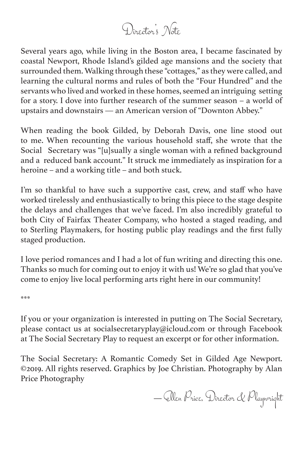### Director's Note

Several years ago, while living in the Boston area, I became fascinated by coastal Newport, Rhode Island's gilded age mansions and the society that surrounded them. Walking through these "cottages," as they were called, and learning the cultural norms and rules of both the "Four Hundred" and the servants who lived and worked in these homes, seemed an intriguing setting for a story. I dove into further research of the summer season – a world of upstairs and downstairs — an American version of "Downton Abbey."

When reading the book Gilded, by Deborah Davis, one line stood out to me. When recounting the various household staff, she wrote that the Social Secretary was "[u]sually a single woman with a refined background and a reduced bank account." It struck me immediately as inspiration for a heroine – and a working title – and both stuck.

I'm so thankful to have such a supportive cast, crew, and staff who have worked tirelessly and enthusiastically to bring this piece to the stage despite the delays and challenges that we've faced. I'm also incredibly grateful to both City of Fairfax Theater Company, who hosted a staged reading, and to Sterling Playmakers, for hosting public play readings and the first fully staged production.

I love period romances and I had a lot of fun writing and directing this one. Thanks so much for coming out to enjoy it with us! We're so glad that you've come to enjoy live local performing arts right here in our community!

\*\*\*

If you or your organization is interested in putting on The Social Secretary, please contact us at socialsecretaryplay@icloud.com or through Facebook at The Social Secretary Play to request an excerpt or for other information.

The Social Secretary: A Romantic Comedy Set in Gilded Age Newport. ©2019. All rights reserved. Graphics by Joe Christian. Photography by Alan Price Photography

— Ellen Price, Director & Playwright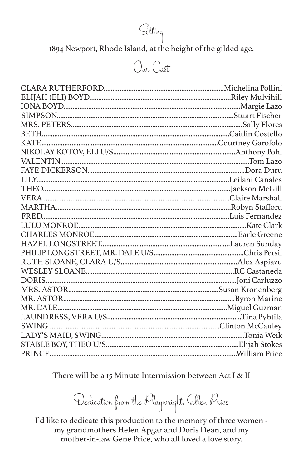Setting

1894 Newport, Rhode Island, at the height of the gilded age.

#### Our Cast

There will be a 15 Minute Intermission between Act I & II

Dedication from the Playwright, Ellen Price

I'd like to dedicate this production to the memory of three women my grandmothers Helen Apgar and Doris Dean, and my mother-in-law Gene Price, who all loved a love story.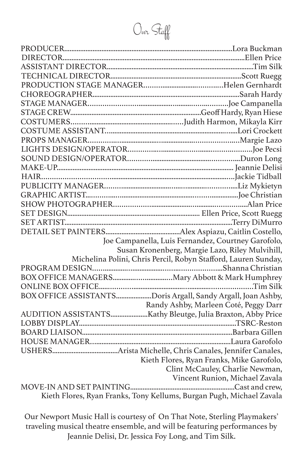Our Staff

|                                                                      | Joe Campanella, Luis Fernandez, Courtney Garofolo,             |  |
|----------------------------------------------------------------------|----------------------------------------------------------------|--|
|                                                                      | Susan Kronenberg, Margie Lazo, Riley Mulvihill,                |  |
|                                                                      | Michelina Polini, Chris Percil, Robyn Stafford, Lauren Sunday, |  |
|                                                                      |                                                                |  |
|                                                                      |                                                                |  |
|                                                                      |                                                                |  |
|                                                                      | BOX OFFICE ASSISTANTSDoris Argall, Sandy Argall, Joan Ashby,   |  |
|                                                                      | Randy Ashby, Marleen Coté, Peggy Darr                          |  |
|                                                                      |                                                                |  |
|                                                                      |                                                                |  |
|                                                                      |                                                                |  |
|                                                                      |                                                                |  |
|                                                                      |                                                                |  |
|                                                                      | Kieth Flores, Ryan Franks, Mike Garofolo,                      |  |
|                                                                      | Clint McCauley, Charlie Newman,                                |  |
|                                                                      | Vincent Runion, Michael Zavala                                 |  |
|                                                                      |                                                                |  |
| Kieth Flores, Ryan Franks, Tony Kellums, Burgan Pugh, Michael Zavala |                                                                |  |

Our Newport Music Hall is courtesy of On That Note, Sterling Playmakers' traveling musical theatre ensemble, and will be featuring performances by Jeannie Delisi, Dr. Jessica Foy Long, and Tim Silk.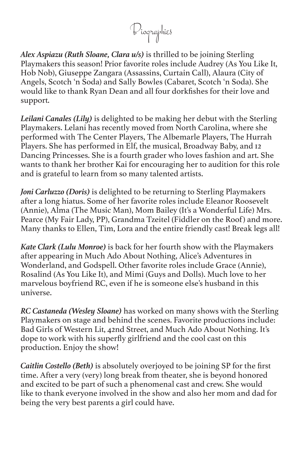Biographies

*Alex Aspiazu (Ruth Sloane, Clara u/s)* is thrilled to be joining Sterling Playmakers this season! Prior favorite roles include Audrey (As You Like It, Hob Nob), Giuseppe Zangara (Assassins, Curtain Call), Alaura (City of Angels, Scotch 'n Soda) and Sally Bowles (Cabaret, Scotch 'n Soda). She would like to thank Ryan Dean and all four dorkfishes for their love and support.

*Leilani Canales (Lily)* is delighted to be making her debut with the Sterling Playmakers. Lelani has recently moved from North Carolina, where she performed with The Center Players, The Albemarle Players, The Hurrah Players. She has performed in Elf, the musical, Broadway Baby, and 12 Dancing Princesses. She is a fourth grader who loves fashion and art. She wants to thank her brother Kai for encouraging her to audition for this role and is grateful to learn from so many talented artists.

*Joni Carluzzo (Doris)* is delighted to be returning to Sterling Playmakers after a long hiatus. Some of her favorite roles include Eleanor Roosevelt (Annie), Alma (The Music Man), Mom Bailey (It's a Wonderful Life) Mrs. Pearce (My Fair Lady, PP), Grandma Tzeitel (Fiddler on the Roof) and more. Many thanks to Ellen, Tim, Lora and the entire friendly cast! Break legs all!

*Kate Clark (Lulu Monroe)* is back for her fourth show with the Playmakers after appearing in Much Ado About Nothing, Alice's Adventures in Wonderland, and Godspell. Other favorite roles include Grace (Annie), Rosalind (As You Like It), and Mimi (Guys and Dolls). Much love to her marvelous boyfriend RC, even if he is someone else's husband in this universe.

*RC Castaneda (Wesley Sloane)* has worked on many shows with the Sterling Playmakers on stage and behind the scenes. Favorite productions include: Bad Girls of Western Lit, 42nd Street, and Much Ado About Nothing. It's dope to work with his superfly girlfriend and the cool cast on this production. Enjoy the show!

*Caitlin Costello (Beth)* is absolutely overjoyed to be joining SP for the first time. After a very (very) long break from theater, she is beyond honored and excited to be part of such a phenomenal cast and crew. She would like to thank everyone involved in the show and also her mom and dad for being the very best parents a girl could have.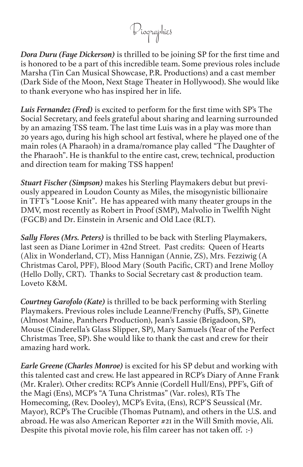Biographies

*Dora Duru (Faye Dickerson)* is thrilled to be joining SP for the first time and is honored to be a part of this incredible team. Some previous roles include Marsha (Tin Can Musical Showcase, P.R. Productions) and a cast member (Dark Side of the Moon, Next Stage Theater in Hollywood). She would like to thank everyone who has inspired her in life.

*Luis Fernandez (Fred)* is excited to perform for the first time with SP's The Social Secretary, and feels grateful about sharing and learning surrounded by an amazing TSS team. The last time Luis was in a play was more than 20 years ago, during his high school art festival, where he played one of the main roles (A Pharaoh) in a drama/romance play called "The Daughter of the Pharaoh". He is thankful to the entire cast, crew, technical, production and direction team for making TSS happen!

*Stuart Fischer (Simpson)* makes his Sterling Playmakers debut but previously appeared in Loudon County as Miles, the misogynistic billionaire in TFT's "Loose Knit". He has appeared with many theater groups in the DMV, most recently as Robert in Proof (SMP), Malvolio in Twelfth Night (FGCB) and Dr. Einstein in Arsenic and Old Lace (RLT).

*Sally Flores (Mrs. Peters)* is thrilled to be back with Sterling Playmakers, last seen as Diane Lorimer in 42nd Street. Past credits: Queen of Hearts (Alix in Wonderland, CT), Miss Hannigan (Annie, ZS), Mrs. Fezziwig (A Christmas Carol, PPF), Blood Mary (South Pacific, CRT) and Irene Molloy (Hello Dolly, CRT). Thanks to Social Secretary cast & production team. Loveto K&M.

*Courtney Garofolo (Kate)* is thrilled to be back performing with Sterling Playmakers. Previous roles include Leanne/Frenchy (Puffs, SP), Ginette (Almost Maine, Panthers Production), Jean's Lassie (Brigadoon, SP), Mouse (Cinderella's Glass Slipper, SP), Mary Samuels (Year of the Perfect Christmas Tree, SP). She would like to thank the cast and crew for their amazing hard work.

*Earle Greene (Charles Monroe)* is excited for his SP debut and working with this talented cast and crew. He last appeared in RCP's Diary of Anne Frank (Mr. Kraler). Other credits: RCP's Annie (Cordell Hull/Ens), PPF's, Gift of the Magi (Ens), MCP's "A Tuna Christmas" (Var. roles), RTs The Homecoming, (Rev. Dooley), MCP's Evita, (Ens), RCP'S Seussical (Mr. Mayor), RCP's The Crucible (Thomas Putnam), and others in the U.S. and abroad. He was also American Reporter #21 in the Will Smith movie, Ali. Despite this pivotal movie role, his film career has not taken off. :-)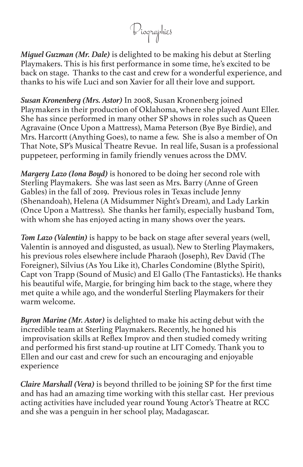Biographies

*Miguel Guzman (Mr. Dale)* is delighted to be making his debut at Sterling Playmakers. This is his first performance in some time, he's excited to be back on stage. Thanks to the cast and crew for a wonderful experience, and thanks to his wife Luci and son Xavier for all their love and support.

*Susan Kronenberg (Mrs. Astor)* In 2008, Susan Kronenberg joined Playmakers in their production of Oklahoma, where she played Aunt Eller. She has since performed in many other SP shows in roles such as Queen Agravaine (Once Upon a Mattress), Mama Peterson (Bye Bye Birdie), and Mrs. Harcortt (Anything Goes), to name a few. She is also a member of On That Note, SP's Musical Theatre Revue. In real life, Susan is a professional puppeteer, performing in family friendly venues across the DMV.

*Margery Lazo (Iona Boyd)* is honored to be doing her second role with Sterling Playmakers. She was last seen as Mrs. Barry (Anne of Green Gables) in the fall of 2019. Previous roles in Texas include Jenny (Shenandoah), Helena (A Midsummer Night's Dream), and Lady Larkin (Once Upon a Mattress). She thanks her family, especially husband Tom, with whom she has enjoyed acting in many shows over the years.

*Tom Lazo (Valentin)* is happy to be back on stage after several years (well, Valentin is annoyed and disgusted, as usual). New to Sterling Playmakers, his previous roles elsewhere include Pharaoh (Joseph), Rev David (The Foreigner), Silvius (As You Like it), Charles Condomine (Blythe Spirit), Capt von Trapp (Sound of Music) and El Gallo (The Fantasticks). He thanks his beautiful wife, Margie, for bringing him back to the stage, where they met quite a while ago, and the wonderful Sterling Playmakers for their warm welcome.

*Byron Marine (Mr. Astor)* is delighted to make his acting debut with the incredible team at Sterling Playmakers. Recently, he honed his improvisation skills at Reflex Improv and then studied comedy writing and performed his first stand-up routine at LIT Comedy. Thank you to Ellen and our cast and crew for such an encouraging and enjoyable experience

*Claire Marshall (Vera)* is beyond thrilled to be joining SP for the first time and has had an amazing time working with this stellar cast. Her previous acting activities have included year round Young Actor's Theatre at RCC and she was a penguin in her school play, Madagascar.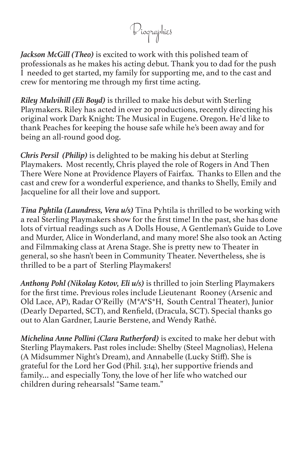Biographies

*Jackson McGill (Theo)* is excited to work with this polished team of professionals as he makes his acting debut. Thank you to dad for the push I needed to get started, my family for supporting me, and to the cast and crew for mentoring me through my first time acting.

*Riley Mulvihill (Eli Boyd)* is thrilled to make his debut with Sterling Playmakers. Riley has acted in over 20 productions, recently directing his original work Dark Knight: The Musical in Eugene. Oregon. He'd like to thank Peaches for keeping the house safe while he's been away and for being an all-round good dog.

*Chris Persil (Philip)* is delighted to be making his debut at Sterling Playmakers. Most recently, Chris played the role of Rogers in And Then There Were None at Providence Players of Fairfax. Thanks to Ellen and the cast and crew for a wonderful experience, and thanks to Shelly, Emily and Jacqueline for all their love and support.

*Tina Pyhtila (Laundress, Vera u/s)* Tina Pyhtila is thrilled to be working with a real Sterling Playmakers show for the first time! In the past, she has done lots of virtual readings such as A Dolls House, A Gentleman's Guide to Love and Murder, Alice in Wonderland, and many more! She also took an Acting and Filmmaking class at Arena Stage. She is pretty new to Theater in general, so she hasn't been in Community Theater. Nevertheless, she is thrilled to be a part of Sterling Playmakers!

*Anthony Pohl (Nikolay Kotov, Eli u/s)* is thrilled to join Sterling Playmakers for the first time. Previous roles include Lieutenant Rooney (Arsenic and Old Lace, AP), Radar O'Reilly (M\*A\*S\*H, South Central Theater), Junior (Dearly Departed, SCT), and Renfield, (Dracula, SCT). Special thanks go out to Alan Gardner, Laurie Berstene, and Wendy Rathé.

*Michelina Anne Pollini (Clara Rutherford)* is excited to make her debut with Sterling Playmakers. Past roles include: Shelby (Steel Magnolias), Helena (A Midsummer Night's Dream), and Annabelle (Lucky Stiff). She is grateful for the Lord her God (Phil. 3:14), her supportive friends and family… and especially Tony, the love of her life who watched our children during rehearsals! "Same team."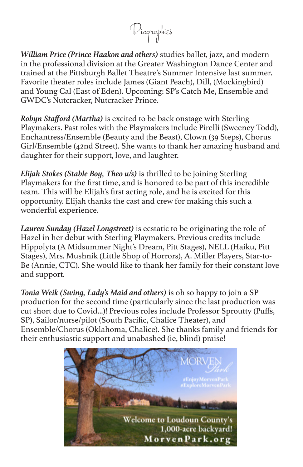Biographies

*William Price (Prince Haakon and others)* studies ballet, jazz, and modern in the professional division at the Greater Washington Dance Center and trained at the Pittsburgh Ballet Theatre's Summer Intensive last summer. Favorite theater roles include James (Giant Peach), Dill, (Mockingbird) and Young Cal (East of Eden). Upcoming: SP's Catch Me, Ensemble and GWDC's Nutcracker, Nutcracker Prince.

*Robyn Stafford (Martha)* is excited to be back onstage with Sterling Playmakers. Past roles with the Playmakers include Pirelli (Sweeney Todd), Enchantress/Ensemble (Beauty and the Beast), Clown (39 Steps), Chorus Girl/Ensemble (42nd Street). She wants to thank her amazing husband and daughter for their support, love, and laughter.

*Elijah Stokes (Stable Boy, Theo u/s)* is thrilled to be joining Sterling Playmakers for the first time, and is honored to be part of this incredible team. This will be Elijah's first acting role, and he is excited for this opportunity. Elijah thanks the cast and crew for making this such a wonderful experience.

*Lauren Sunday (Hazel Longstreet)* is ecstatic to be originating the role of Hazel in her debut with Sterling Playmakers. Previous credits include Hippolyta (A Midsummer Night's Dream, Pitt Stages), NELL (Haiku, Pitt Stages), Mrs. Mushnik (Little Shop of Horrors), A. Miller Players, Star-to-Be (Annie, CTC). She would like to thank her family for their constant love and support.

*Tonia Weik (Swing, Lady's Maid and others)* is oh so happy to join a SP production for the second time (particularly since the last production was cut short due to Covid...)! Previous roles include Professor Sproutty (Puffs, SP), Sailor/nurse/pilot (South Pacific, Chalice Theater), and Ensemble/Chorus (Oklahoma, Chalice). She thanks family and friends for their enthusiastic support and unabashed (ie, blind) praise!

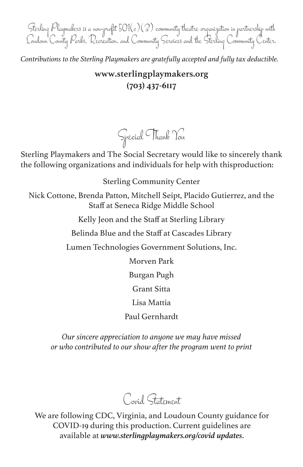Sterling Playmakers is a non-profit 501(c)(3) community theatre organization in partnership with Loudoun County Parks, Recreation, and Community Services and the Sterling Community Center.

*Contributions to the Sterling Playmakers are gratefully accepted and fully tax deductible.*

#### **www.sterlingplaymakers.org (703) 437-6117**

Sterling Playmakers and The Social Secretary would like to sincerely thank the following organizations and individuals for help with thisproduction:

Special Thank You

Sterling Community Center

Nick Cottone, Brenda Patton, Mitchell Seipt, Placido Gutierrez, and the Staff at Seneca Ridge Middle School

Kelly Jeon and the Staff at Sterling Library

Belinda Blue and the Staff at Cascades Library

Lumen Technologies Government Solutions, Inc.

Morven Park

Burgan Pugh

Grant Sitta

Lisa Mattia

Paul Gernhardt

*Our sincere appreciation to anyone we may have missed or who contributed to our show after the program went to print*

Covid Statement

We are following CDC, Virginia, and Loudoun County guidance for COVID-19 during this production. Current guidelines are available at *www.sterlingplaymakers.org/covid updates*.